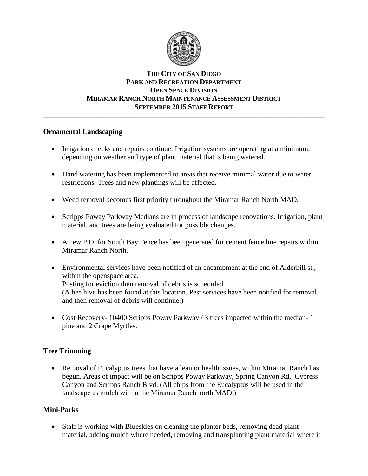

## **THE CITY OF SAN DIEGO PARK AND RECREATION DEPARTMENT OPEN SPACE DIVISION MIRAMAR RANCH NORTH MAINTENANCE ASSESSMENT DISTRICT SEPTEMBER 2015 STAFF REPORT** \_\_\_\_\_\_\_\_\_\_\_\_\_\_\_\_\_\_\_\_\_\_\_\_\_\_\_\_\_\_\_\_\_\_\_\_\_\_\_\_\_\_\_\_\_\_\_\_\_\_\_\_\_\_\_\_\_\_\_\_\_\_\_\_\_\_\_\_\_\_\_\_\_\_\_\_\_\_

# **Ornamental Landscaping**

- Irrigation checks and repairs continue. Irrigation systems are operating at a minimum, depending on weather and type of plant material that is being watered.
- Hand watering has been implemented to areas that receive minimal water due to water restrictions. Trees and new plantings will be affected.
- Weed removal becomes first priority throughout the Miramar Ranch North MAD.
- Scripps Poway Parkway Medians are in process of landscape renovations. Irrigation, plant material, and trees are being evaluated for possible changes.
- A new P.O. for South Bay Fence has been generated for cement fence line repairs within Miramar Ranch North.
- Environmental services have been notified of an encampment at the end of Alderhill st., within the openspace area. Posting for eviction then removal of debris is scheduled. (A bee hive has been found at this location. Pest services have been notified for removal, and then removal of debris will continue.)
- Cost Recovery- 10400 Scripps Poway Parkway  $\frac{1}{3}$  trees impacted within the median-1 pine and 2 Crape Myrtles.

# **Tree Trimming**

• Removal of Eucalyptus trees that have a lean or health issues, within Miramar Ranch has begun. Areas of impact will be on Scripps Poway Parkway, Spring Canyon Rd., Cypress Canyon and Scripps Ranch Blvd. (All chips from the Eucalyptus will be used in the landscape as mulch within the Miramar Ranch north MAD.)

# **Mini-Parks**

 Staff is working with Blueskies on cleaning the planter beds, removing dead plant material, adding mulch where needed, removing and transplanting plant material where it